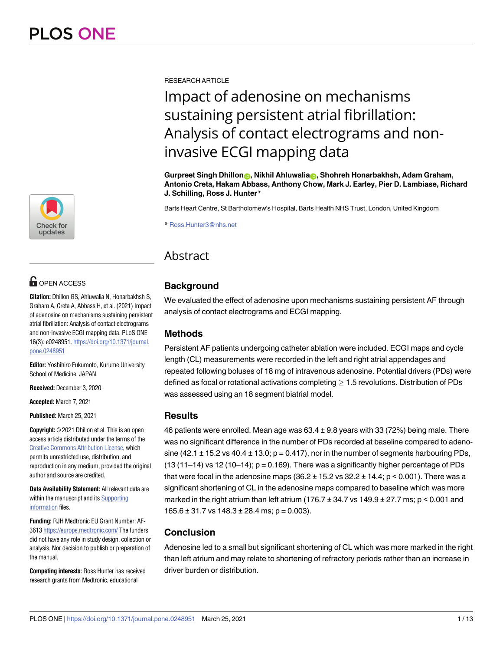

# **O** OPEN ACCESS

**Citation:** Dhillon GS, Ahluwalia N, Honarbakhsh S, Graham A, Creta A, Abbass H, et al. (2021) Impact of adenosine on mechanisms sustaining persistent atrial fibrillation: Analysis of contact electrograms and non-invasive ECGI mapping data. PLoS ONE 16(3): e0248951. [https://doi.org/10.1371/journal.](https://doi.org/10.1371/journal.pone.0248951) [pone.0248951](https://doi.org/10.1371/journal.pone.0248951)

**Editor:** Yoshihiro Fukumoto, Kurume University School of Medicine, JAPAN

**Received:** December 3, 2020

**Accepted:** March 7, 2021

**Published:** March 25, 2021

**Copyright:** © 2021 Dhillon et al. This is an open access article distributed under the terms of the Creative Commons [Attribution](http://creativecommons.org/licenses/by/4.0/) License, which permits unrestricted use, distribution, and reproduction in any medium, provided the original author and source are credited.

**Data Availability Statement:** All relevant data are within the manuscript and its [Supporting](#page-10-0) [information](#page-10-0) files.

**Funding:** RJH Medtronic EU Grant Number: AF-3613 <https://europe.medtronic.com/> The funders did not have any role in study design, collection or analysis. Nor decision to publish or preparation of the manual.

**Competing interests:** Ross Hunter has received research grants from Medtronic, educational

RESEARCH ARTICLE

# Impact of adenosine on mechanisms sustaining persistent atrial fibrillation: Analysis of contact electrograms and noninvasive ECGI mapping data

**Gurpreet Singh Dhillon[ID,](https://orcid.org/0000-0002-1197-9328) Nikhil Ahluwali[aID](https://orcid.org/0000-0003-1257-5576), Shohreh Honarbakhsh, Adam Graham, Antonio Creta, Hakam Abbass, Anthony Chow, Mark J. Earley, Pier D. Lambiase, Richard J. Schilling, Ross J. Hunter\***

Barts Heart Centre, St Bartholomew's Hospital, Barts Health NHS Trust, London, United Kingdom

\* Ross.Hunter3@nhs.net

# Abstract

# **Background**

We evaluated the effect of adenosine upon mechanisms sustaining persistent AF through analysis of contact electrograms and ECGI mapping.

# **Methods**

Persistent AF patients undergoing catheter ablation were included. ECGI maps and cycle length (CL) measurements were recorded in the left and right atrial appendages and repeated following boluses of 18 mg of intravenous adenosine. Potential drivers (PDs) were defined as focal or rotational activations completing  $\geq 1.5$  revolutions. Distribution of PDs was assessed using an 18 segment biatrial model.

# **Results**

46 patients were enrolled. Mean age was 63.4 ± 9.8 years with 33 (72%) being male. There was no significant difference in the number of PDs recorded at baseline compared to adenosine (42.1  $\pm$  15.2 vs 40.4  $\pm$  13.0; p = 0.417), nor in the number of segments harbouring PDs,  $(13 (11-14)$  vs  $12 (10-14)$ ;  $p = 0.169$ ). There was a significantly higher percentage of PDs that were focal in the adenosine maps  $(36.2 \pm 15.2 \text{ vs } 32.2 \pm 14.4; p < 0.001)$ . There was a significant shortening of CL in the adenosine maps compared to baseline which was more marked in the right atrium than left atrium (176.7  $\pm$  34.7 vs 149.9  $\pm$  27.7 ms; p < 0.001 and  $165.6 \pm 31.7$  vs  $148.3 \pm 28.4$  ms;  $p = 0.003$ ).

# **Conclusion**

Adenosine led to a small but significant shortening of CL which was more marked in the right than left atrium and may relate to shortening of refractory periods rather than an increase in driver burden or distribution.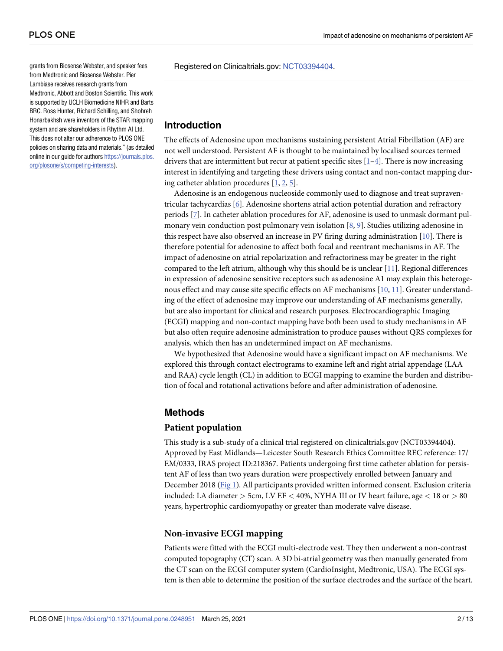<span id="page-1-0"></span>grants from Biosense Webster, and speaker fees from Medtronic and Biosense Webster. Pier Lambiase receives research grants from Medtronic, Abbott and Boston Scientific. This work is supported by UCLH Biomedicine NIHR and Barts BRC. Ross Hunter, Richard Schilling, and Shohreh Honarbakhsh were inventors of the STAR mapping system and are shareholders in Rhythm AI Ltd. This does not alter our adherence to PLOS ONE policies on sharing data and materials."(as detailed online in our guide for authors [https://journals.plos.](https://journals.plos.org/plosone/s/competing-interests) [org/plosone/s/competing-interests](https://journals.plos.org/plosone/s/competing-interests)).

Registered on Clinicaltrials.gov: [NCT03394404](https://clinicaltrials.gov/ct2/show/NCT03394404).

# **Introduction**

The effects of Adenosine upon mechanisms sustaining persistent Atrial Fibrillation (AF) are not well understood. Persistent AF is thought to be maintained by localised sources termed drivers that are intermittent but recur at patient specific sites  $[1-4]$ . There is now increasing interest in identifying and targeting these drivers using contact and non-contact mapping during catheter ablation procedures [\[1,](#page-11-0) [2,](#page-11-0) [5](#page-11-0)].

Adenosine is an endogenous nucleoside commonly used to diagnose and treat supraventricular tachycardias [[6\]](#page-11-0). Adenosine shortens atrial action potential duration and refractory periods [\[7](#page-11-0)]. In catheter ablation procedures for AF, adenosine is used to unmask dormant pulmonary vein conduction post pulmonary vein isolation [\[8](#page-11-0), [9](#page-11-0)]. Studies utilizing adenosine in this respect have also observed an increase in PV firing during administration [[10](#page-11-0)]. There is therefore potential for adenosine to affect both focal and reentrant mechanisms in AF. The impact of adenosine on atrial repolarization and refractoriness may be greater in the right compared to the left atrium, although why this should be is unclear [\[11\]](#page-11-0). Regional differences in expression of adenosine sensitive receptors such as adenosine A1 may explain this heterogenous effect and may cause site specific effects on AF mechanisms [[10](#page-11-0), [11](#page-11-0)]. Greater understanding of the effect of adenosine may improve our understanding of AF mechanisms generally, but are also important for clinical and research purposes. Electrocardiographic Imaging (ECGI) mapping and non-contact mapping have both been used to study mechanisms in AF but also often require adenosine administration to produce pauses without QRS complexes for analysis, which then has an undetermined impact on AF mechanisms.

We hypothesized that Adenosine would have a significant impact on AF mechanisms. We explored this through contact electrograms to examine left and right atrial appendage (LAA and RAA) cycle length (CL) in addition to ECGI mapping to examine the burden and distribution of focal and rotational activations before and after administration of adenosine.

# **Methods**

#### **Patient population**

This study is a sub-study of a clinical trial registered on clinicaltrials.gov (NCT03394404). Approved by East Midlands—Leicester South Research Ethics Committee REC reference: 17/ EM/0333, IRAS project ID:218367. Patients undergoing first time catheter ablation for persistent AF of less than two years duration were prospectively enrolled between January and December 2018 [\(Fig](#page-2-0) 1). All participants provided written informed consent. Exclusion criteria included: LA diameter *>* 5cm, LV EF *<* 40%, NYHA III or IV heart failure, age *<* 18 or *>* 80 years, hypertrophic cardiomyopathy or greater than moderate valve disease.

#### **Non-invasive ECGI mapping**

Patients were fitted with the ECGI multi-electrode vest. They then underwent a non-contrast computed topography (CT) scan. A 3D bi-atrial geometry was then manually generated from the CT scan on the ECGI computer system (CardioInsight, Medtronic, USA). The ECGI system is then able to determine the position of the surface electrodes and the surface of the heart.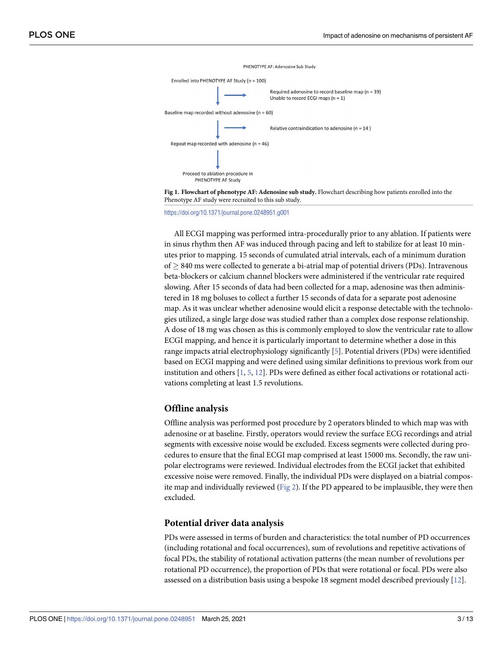<span id="page-2-0"></span>



#### <https://doi.org/10.1371/journal.pone.0248951.g001>

All ECGI mapping was performed intra-procedurally prior to any ablation. If patients were in sinus rhythm then AF was induced through pacing and left to stabilize for at least 10 minutes prior to mapping. 15 seconds of cumulated atrial intervals, each of a minimum duration  $of \geq 840$  ms were collected to generate a bi-atrial map of potential drivers (PDs). Intravenous beta-blockers or calcium channel blockers were administered if the ventricular rate required slowing. After 15 seconds of data had been collected for a map, adenosine was then administered in 18 mg boluses to collect a further 15 seconds of data for a separate post adenosine map. As it was unclear whether adenosine would elicit a response detectable with the technologies utilized, a single large dose was studied rather than a complex dose response relationship. A dose of 18 mg was chosen as this is commonly employed to slow the ventricular rate to allow ECGI mapping, and hence it is particularly important to determine whether a dose in this range impacts atrial electrophysiology significantly [\[5\]](#page-11-0). Potential drivers (PDs) were identified based on ECGI mapping and were defined using similar definitions to previous work from our institution and others  $[1, 5, 12]$  $[1, 5, 12]$  $[1, 5, 12]$  $[1, 5, 12]$  $[1, 5, 12]$  $[1, 5, 12]$ . PDs were defined as either focal activations or rotational activations completing at least 1.5 revolutions.

#### **Offline analysis**

Offline analysis was performed post procedure by 2 operators blinded to which map was with adenosine or at baseline. Firstly, operators would review the surface ECG recordings and atrial segments with excessive noise would be excluded. Excess segments were collected during procedures to ensure that the final ECGI map comprised at least 15000 ms. Secondly, the raw unipolar electrograms were reviewed. Individual electrodes from the ECGI jacket that exhibited excessive noise were removed. Finally, the individual PDs were displayed on a biatrial compos-ite map and individually reviewed ([Fig](#page-3-0)  $2$ ). If the PD appeared to be implausible, they were then excluded.

#### **Potential driver data analysis**

PDs were assessed in terms of burden and characteristics: the total number of PD occurrences (including rotational and focal occurrences), sum of revolutions and repetitive activations of focal PDs, the stability of rotational activation patterns (the mean number of revolutions per rotational PD occurrence), the proportion of PDs that were rotational or focal. PDs were also assessed on a distribution basis using a bespoke 18 segment model described previously [\[12\]](#page-11-0).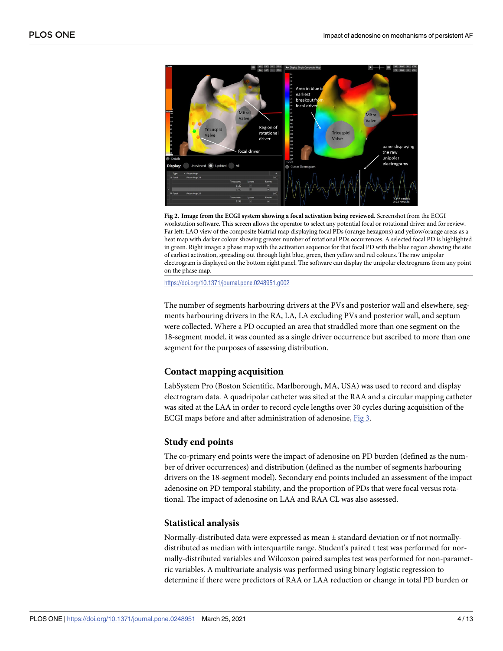<span id="page-3-0"></span>

**[Fig](#page-2-0) 2. Image from the ECGI system showing a focal activation being reviewed.** Screenshot from the ECGI workstation software. This screen allows the operator to select any potential focal or rotational driver and for review. Far left: LAO view of the composite biatrial map displaying focal PDs (orange hexagons) and yellow/orange areas as a heat map with darker colour showing greater number of rotational PDs occurrences. A selected focal PD is highlighted in green. Right image: a phase map with the activation sequence for that focal PD with the blue region showing the site of earliest activation, spreading out through light blue, green, then yellow and red colours. The raw unipolar electrogram is displayed on the bottom right panel. The software can display the unipolar electrograms from any point on the phase map.

#### <https://doi.org/10.1371/journal.pone.0248951.g002>

The number of segments harbouring drivers at the PVs and posterior wall and elsewhere, segments harbouring drivers in the RA, LA, LA excluding PVs and posterior wall, and septum were collected. Where a PD occupied an area that straddled more than one segment on the 18-segment model, it was counted as a single driver occurrence but ascribed to more than one segment for the purposes of assessing distribution.

#### **Contact mapping acquisition**

LabSystem Pro (Boston Scientific, Marlborough, MA, USA) was used to record and display electrogram data. A quadripolar catheter was sited at the RAA and a circular mapping catheter was sited at the LAA in order to record cycle lengths over 30 cycles during acquisition of the ECGI maps before and after administration of adenosine, [Fig](#page-4-0) 3.

#### **Study end points**

The co-primary end points were the impact of adenosine on PD burden (defined as the number of driver occurrences) and distribution (defined as the number of segments harbouring drivers on the 18-segment model). Secondary end points included an assessment of the impact adenosine on PD temporal stability, and the proportion of PDs that were focal versus rotational. The impact of adenosine on LAA and RAA CL was also assessed.

#### **Statistical analysis**

Normally-distributed data were expressed as mean ± standard deviation or if not normallydistributed as median with interquartile range. Student's paired t test was performed for normally-distributed variables and Wilcoxon paired samples test was performed for non-parametric variables. A multivariate analysis was performed using binary logistic regression to determine if there were predictors of RAA or LAA reduction or change in total PD burden or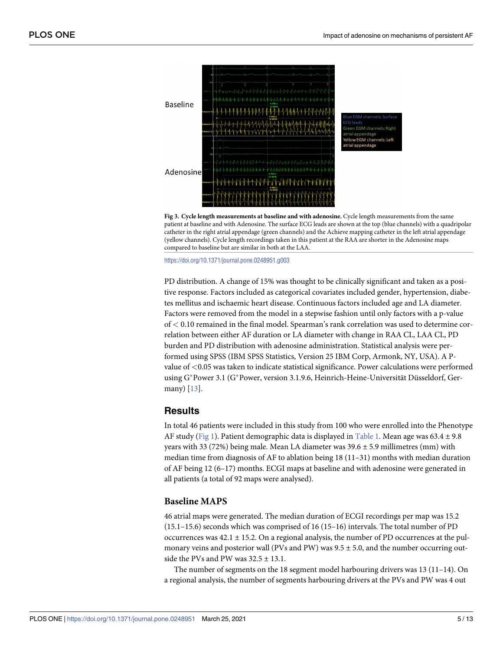<span id="page-4-0"></span>

**[Fig](#page-3-0) 3. Cycle length measurements at baseline and with adenosine.** Cycle length measurements from the same patient at baseline and with Adenosine. The surface ECG leads are shown at the top (blue channels) with a quadripolar catheter in the right atrial appendage (green channels) and the Achieve mapping catheter in the left atrial appendage (yellow channels). Cycle length recordings taken in this patient at the RAA are shorter in the Adenosine maps compared to baseline but are similar in both at the LAA.

<https://doi.org/10.1371/journal.pone.0248951.g003>

PD distribution. A change of 15% was thought to be clinically significant and taken as a positive response. Factors included as categorical covariates included gender, hypertension, diabetes mellitus and ischaemic heart disease. Continuous factors included age and LA diameter. Factors were removed from the model in a stepwise fashion until only factors with a p-value of *<* 0.10 remained in the final model. Spearman's rank correlation was used to determine correlation between either AF duration or LA diameter with change in RAA CL, LAA CL, PD burden and PD distribution with adenosine administration. Statistical analysis were performed using SPSS (IBM SPSS Statistics, Version 25 IBM Corp, Armonk, NY, USA). A Pvalue of *<*0.05 was taken to indicate statistical significance. Power calculations were performed using G\*Power 3.1 (G\*Power, version 3.1.9.6, Heinrich-Heine-Universität Düsseldorf, Germany) [[13](#page-11-0)].

### **Results**

In total 46 patients were included in this study from 100 who were enrolled into the Phenotype AF study ([Fig](#page-2-0) 1). Patient demographic data is displayed in [Table](#page-5-0) 1. Mean age was  $63.4 \pm 9.8$ years with 33 (72%) being male. Mean LA diameter was  $39.6 \pm 5.9$  millimetres (mm) with median time from diagnosis of AF to ablation being  $18(11-31)$  months with median duration of AF being 12 (6–17) months. ECGI maps at baseline and with adenosine were generated in all patients (a total of 92 maps were analysed).

# **Baseline MAPS**

46 atrial maps were generated. The median duration of ECGI recordings per map was 15.2 (15.1–15.6) seconds which was comprised of 16 (15–16) intervals. The total number of PD occurrences was  $42.1 \pm 15.2$ . On a regional analysis, the number of PD occurrences at the pulmonary veins and posterior wall (PVs and PW) was  $9.5 \pm 5.0$ , and the number occurring outside the PVs and PW was  $32.5 \pm 13.1$ .

The number of segments on the 18 segment model harbouring drivers was 13 (11–14). On a regional analysis, the number of segments harbouring drivers at the PVs and PW was 4 out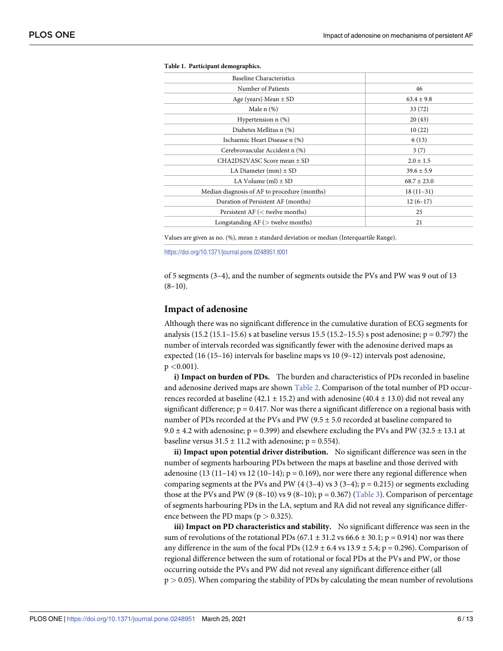<span id="page-5-0"></span>

| <b>Baseline Characteristics</b>              |                 |
|----------------------------------------------|-----------------|
| Number of Patients                           | 46              |
| Age (years) Mean $\pm$ SD                    | $63.4 \pm 9.8$  |
| Male $n$ $(\%)$                              | 33(72)          |
| Hypertension $n$ $(\%)$                      | 20(43)          |
| Diabetes Mellitus n (%)                      | 10(22)          |
| Ischaemic Heart Disease n (%)                | 6(13)           |
| Cerebrovascular Accident n (%)               | 3(7)            |
| CHA2DS2VASC Score mean ± SD                  | $2.0 \pm 1.5$   |
| LA Diameter $(mm) \pm SD$                    | $39.6 \pm 5.9$  |
| LA Volume (ml) $\pm$ SD                      | $68.7 \pm 23.0$ |
| Median diagnosis of AF to procedure (months) | $18(11-31)$     |
| Duration of Persistent AF (months)           | $12(6-17)$      |
| Persistent $AF \, (<$ twelve months)         | 25              |
| Longstanding $AF$ ( $>$ twelve months)       | 21              |

**[Table](#page-4-0) 1. Participant demographics.**

Values are given as no. (%), mean ± standard deviation or median (Interquartile Range).

<https://doi.org/10.1371/journal.pone.0248951.t001>

of 5 segments (3–4), and the number of segments outside the PVs and PW was 9 out of 13  $(8-10)$ .

#### **Impact of adenosine**

Although there was no significant difference in the cumulative duration of ECG segments for analysis (15.2 (15.1–15.6) s at baseline versus 15.5 (15.2–15.5) s post adenosine;  $p = 0.797$ ) the number of intervals recorded was significantly fewer with the adenosine derived maps as expected (16 (15–16) intervals for baseline maps vs 10 (9–12) intervals post adenosine, p *<*0.001).

**i) Impact on burden of PDs.** The burden and characteristics of PDs recorded in baseline and adenosine derived maps are shown [Table](#page-6-0) 2. Comparison of the total number of PD occurrences recorded at baseline (42.1  $\pm$  15.2) and with adenosine (40.4  $\pm$  13.0) did not reveal any significant difference;  $p = 0.417$ . Nor was there a significant difference on a regional basis with number of PDs recorded at the PVs and PW (9.5 ± 5.0 recorded at baseline compared to 9.0  $\pm$  4.2 with adenosine; p = 0.399) and elsewhere excluding the PVs and PW (32.5  $\pm$  13.1 at baseline versus  $31.5 \pm 11.2$  with adenosine; p = 0.554).

**ii) Impact upon potential driver distribution.** No significant difference was seen in the number of segments harbouring PDs between the maps at baseline and those derived with adenosine (13 (11–14) vs 12 (10–14);  $p = 0.169$ ), nor were there any regional difference when comparing segments at the PVs and PW (4 (3–4) vs 3 (3–4);  $p = 0.215$ ) or segments excluding those at the PVs and PW (9 (8–10) vs 9 (8–10);  $p = 0.367$  [\(Table](#page-6-0) 3). Comparison of percentage of segments harbouring PDs in the LA, septum and RA did not reveal any significance difference between the PD maps ( $p > 0.325$ ).

**iii) Impact on PD characteristics and stability.** No significant difference was seen in the sum of revolutions of the rotational PDs (67.1  $\pm$  31.2 vs 66.6  $\pm$  30.1; p = 0.914) nor was there any difference in the sum of the focal PDs (12.9  $\pm$  6.4 vs 13.9  $\pm$  5.4; p = 0.296). Comparison of regional difference between the sum of rotational or focal PDs at the PVs and PW, or those occurring outside the PVs and PW did not reveal any significant difference either (all p *>* 0.05). When comparing the stability of PDs by calculating the mean number of revolutions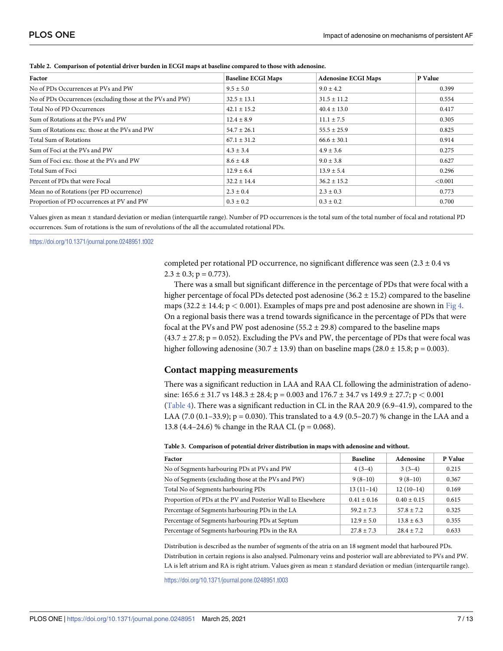| Factor                                                    | <b>Baseline ECGI Maps</b> | <b>Adenosine ECGI Maps</b> | P Value |
|-----------------------------------------------------------|---------------------------|----------------------------|---------|
| No of PDs Occurrences at PVs and PW                       | $9.5 \pm 5.0$             | $9.0 \pm 4.2$              | 0.399   |
| No of PDs Occurrences (excluding those at the PVs and PW) | $32.5 \pm 13.1$           | $31.5 \pm 11.2$            | 0.554   |
| Total No of PD Occurrences                                | $42.1 \pm 15.2$           | $40.4 \pm 13.0$            | 0.417   |
| Sum of Rotations at the PVs and PW                        | $12.4 \pm 8.9$            | $11.1 \pm 7.5$             | 0.305   |
| Sum of Rotations exc. those at the PVs and PW             | $54.7 \pm 26.1$           | $55.5 \pm 25.9$            | 0.825   |
| Total Sum of Rotations                                    | $67.1 \pm 31.2$           | $66.6 \pm 30.1$            | 0.914   |
| Sum of Foci at the PVs and PW                             | $4.3 \pm 3.4$             | $4.9 \pm 3.6$              | 0.275   |
| Sum of Foci exc. those at the PVs and PW                  | $8.6 \pm 4.8$             | $9.0 \pm 3.8$              | 0.627   |
| Total Sum of Foci                                         | $12.9 \pm 6.4$            | $13.9 \pm 5.4$             | 0.296   |
| Percent of PDs that were Focal                            | $32.2 \pm 14.4$           | $36.2 \pm 15.2$            | < 0.001 |
| Mean no of Rotations (per PD occurrence)                  | $2.3 \pm 0.4$             | $2.3 \pm 0.3$              | 0.773   |
| Proportion of PD occurrences at PV and PW                 | $0.3 \pm 0.2$             | $0.3 \pm 0.2$              | 0.700   |

<span id="page-6-0"></span>**[Table](#page-5-0) 2. Comparison of potential driver burden in ECGI maps at baseline compared to those with adenosine.**

Values given as mean ± standard deviation or median (interquartile range). Number of PD occurrences is the total sum of the total number of focal and rotational PD occurrences. Sum of rotations is the sum of revolutions of the all the accumulated rotational PDs.

<https://doi.org/10.1371/journal.pone.0248951.t002>

completed per rotational PD occurrence, no significant difference was seen  $(2.3 \pm 0.4 \text{ vs } 1.5 \pm 0.4 \text{ vs } 1.5 \pm 0.4 \text{ vs } 1.5 \pm 0.4 \text{ vs } 1.5 \pm 0.4 \text{ vs } 1.5 \pm 0.4 \text{ vs } 1.5 \pm 0.4 \text{ vs } 1.5 \pm 0.4 \text{ vs } 1.5 \pm 0.4 \text{ vs } 1.5 \pm 0.4$  $2.3 \pm 0.3$ ; p = 0.773).

There was a small but significant difference in the percentage of PDs that were focal with a higher percentage of focal PDs detected post adenosine  $(36.2 \pm 15.2)$  compared to the baseline maps (32.2 ± 14.4; p *<* 0.001). Examples of maps pre and post adenosine are shown in [Fig](#page-7-0) 4. On a regional basis there was a trend towards significance in the percentage of PDs that were focal at the PVs and PW post adenosine  $(55.2 \pm 29.8)$  compared to the baseline maps  $(43.7 \pm 27.8; p = 0.052)$ . Excluding the PVs and PW, the percentage of PDs that were focal was higher following adenosine (30.7  $\pm$  13.9) than on baseline maps (28.0  $\pm$  15.8; p = 0.003).

#### **Contact mapping measurements**

There was a significant reduction in LAA and RAA CL following the administration of adenosine: 165.6 ± 31.7 vs 148.3 ± 28.4; p = 0.003 and 176.7 ± 34.7 vs 149.9 ± 27.7; p *<* 0.001 [\(Table](#page-7-0) 4). There was a significant reduction in CL in the RAA 20.9 (6.9–41.9), compared to the LAA (7.0 (0.1–33.9);  $p = 0.030$ ). This translated to a 4.9 (0.5–20.7) % change in the LAA and a 13.8 (4.4–24.6) % change in the RAA CL ( $p = 0.068$ ).

|  |  |  | Table 3. Comparison of potential driver distribution in maps with adenosine and without. |  |
|--|--|--|------------------------------------------------------------------------------------------|--|
|  |  |  |                                                                                          |  |

| Factor                                                      | <b>Baseline</b> | Adenosine       | P Value |
|-------------------------------------------------------------|-----------------|-----------------|---------|
| No of Segments harbouring PDs at PVs and PW                 | $4(3-4)$        | $3(3-4)$        | 0.215   |
| No of Segments (excluding those at the PVs and PW)          | $9(8-10)$       | $9(8-10)$       | 0.367   |
| Total No of Segments harbouring PDs                         | $13(11-14)$     | $12(10-14)$     | 0.169   |
| Proportion of PDs at the PV and Posterior Wall to Elsewhere | $0.41 \pm 0.16$ | $0.40 \pm 0.15$ | 0.615   |
| Percentage of Segments harbouring PDs in the LA             | $59.2 + 7.3$    | $57.8 + 7.2$    | 0.325   |
| Percentage of Segments harbouring PDs at Septum             | $12.9 + 5.0$    | $13.8 \pm 6.3$  | 0.355   |
| Percentage of Segments harbouring PDs in the RA             | $27.8 + 7.3$    | $28.4 + 7.2$    | 0.633   |

Distribution is described as the number of segments of the atria on an 18 segment model that harboured PDs. Distribution in certain regions is also analysed. Pulmonary veins and posterior wall are abbreviated to PVs and PW. LA is left atrium and RA is right atrium. Values given as mean ± standard deviation or median (interquartile range).

<https://doi.org/10.1371/journal.pone.0248951.t003>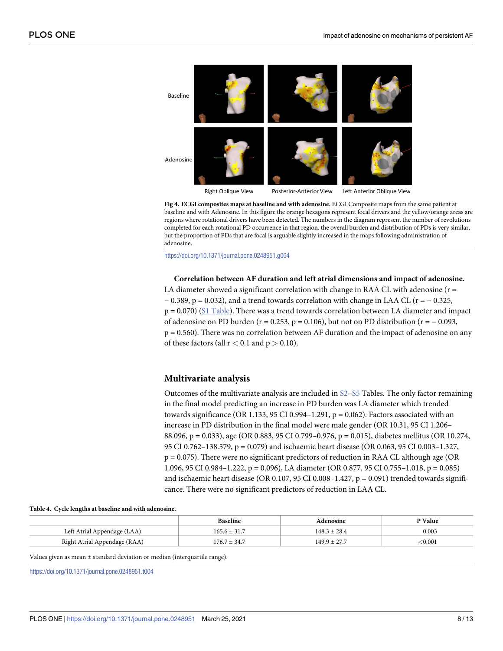<span id="page-7-0"></span>

**[Fig](#page-6-0) 4. ECGI composites maps at baseline and with adenosine.** ECGI Composite maps from the same patient at baseline and with Adenosine. In this figure the orange hexagons represent focal drivers and the yellow/orange areas are regions where rotational drivers have been detected. The numbers in the diagram represent the number of revolutions completed for each rotational PD occurrence in that region. the overall burden and distribution of PDs is very similar, but the proportion of PDs that are focal is arguable slightly increased in the maps following administration of adenosine.

<https://doi.org/10.1371/journal.pone.0248951.g004>

**Correlation between AF duration and left atrial dimensions and impact of adenosine.** LA diameter showed a significant correlation with change in RAA CL with adenosine ( $r =$  $-0.389$ , p = 0.032), and a trend towards correlation with change in LAA CL (r =  $-0.325$ ,  $p = 0.070$ ) (S1 [Table\)](#page-10-0). There was a trend towards correlation between LA diameter and impact of adenosine on PD burden ( $r = 0.253$ ,  $p = 0.106$ ), but not on PD distribution ( $r = -0.093$ , p = 0.560). There was no correlation between AF duration and the impact of adenosine on any of these factors (all r *<* 0.1 and p *>* 0.10).

#### **Multivariate analysis**

Outcomes of the multivariate analysis are included in [S2](#page-10-0)–[S5](#page-10-0) Tables. The only factor remaining in the final model predicting an increase in PD burden was LA diameter which trended towards significance (OR 1.133, 95 CI 0.994-1.291,  $p = 0.062$ ). Factors associated with an increase in PD distribution in the final model were male gender (OR 10.31, 95 CI 1.206– 88.096, p = 0.033), age (OR 0.883, 95 CI 0.799–0.976, p = 0.015), diabetes mellitus (OR 10.274, 95 CI 0.762–138.579, p = 0.079) and ischaemic heart disease (OR 0.063, 95 CI 0.003–1.327, p = 0.075). There were no significant predictors of reduction in RAA CL although age (OR 1.096, 95 CI 0.984–1.222, p = 0.096), LA diameter (OR 0.877. 95 CI 0.755–1.018, p = 0.085) and ischaemic heart disease (OR 0.107, 95 CI 0.008-1.427,  $p = 0.091$ ) trended towards significance. There were no significant predictors of reduction in LAA CL.

|  |  |  |  |  |  | Table 4. Cycle lengths at baseline and with adenosine. |
|--|--|--|--|--|--|--------------------------------------------------------|
|--|--|--|--|--|--|--------------------------------------------------------|

|                              | <b>Baseline</b>  | Adenosine        | P Value |
|------------------------------|------------------|------------------|---------|
| Left Atrial Appendage (LAA)  | $165.6 \pm 31.7$ | $148.3 \pm 28.4$ | 0.003   |
| Right Atrial Appendage (RAA) | $176.7 \pm 34.7$ | $149.9 + 27.7$   | < 0.001 |

Values given as mean ± standard deviation or median (interquartile range).

<https://doi.org/10.1371/journal.pone.0248951.t004>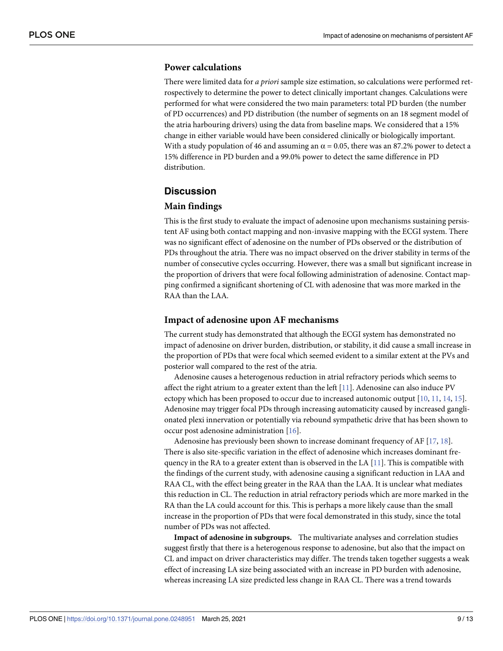### <span id="page-8-0"></span>**Power calculations**

There were limited data for *a priori* sample size estimation, so calculations were performed retrospectively to determine the power to detect clinically important changes. Calculations were performed for what were considered the two main parameters: total PD burden (the number of PD occurrences) and PD distribution (the number of segments on an 18 segment model of the atria harbouring drivers) using the data from baseline maps. We considered that a 15% change in either variable would have been considered clinically or biologically important. With a study population of 46 and assuming an  $\alpha$  = 0.05, there was an 87.2% power to detect a 15% difference in PD burden and a 99.0% power to detect the same difference in PD distribution.

#### **Discussion**

#### **Main findings**

This is the first study to evaluate the impact of adenosine upon mechanisms sustaining persistent AF using both contact mapping and non-invasive mapping with the ECGI system. There was no significant effect of adenosine on the number of PDs observed or the distribution of PDs throughout the atria. There was no impact observed on the driver stability in terms of the number of consecutive cycles occurring. However, there was a small but significant increase in the proportion of drivers that were focal following administration of adenosine. Contact mapping confirmed a significant shortening of CL with adenosine that was more marked in the RAA than the LAA.

#### **Impact of adenosine upon AF mechanisms**

The current study has demonstrated that although the ECGI system has demonstrated no impact of adenosine on driver burden, distribution, or stability, it did cause a small increase in the proportion of PDs that were focal which seemed evident to a similar extent at the PVs and posterior wall compared to the rest of the atria.

Adenosine causes a heterogenous reduction in atrial refractory periods which seems to affect the right atrium to a greater extent than the left  $[11]$ . Adenosine can also induce PV ectopy which has been proposed to occur due to increased autonomic output [\[10,](#page-11-0) [11,](#page-11-0) [14,](#page-11-0) [15\]](#page-11-0). Adenosine may trigger focal PDs through increasing automaticity caused by increased ganglionated plexi innervation or potentially via rebound sympathetic drive that has been shown to occur post adenosine administration [\[16\]](#page-11-0).

Adenosine has previously been shown to increase dominant frequency of AF [\[17,](#page-11-0) [18\]](#page-12-0). There is also site-specific variation in the effect of adenosine which increases dominant frequency in the RA to a greater extent than is observed in the LA  $[11]$  $[11]$  $[11]$ . This is compatible with the findings of the current study, with adenosine causing a significant reduction in LAA and RAA CL, with the effect being greater in the RAA than the LAA. It is unclear what mediates this reduction in CL. The reduction in atrial refractory periods which are more marked in the RA than the LA could account for this. This is perhaps a more likely cause than the small increase in the proportion of PDs that were focal demonstrated in this study, since the total number of PDs was not affected.

**Impact of adenosine in subgroups.** The multivariate analyses and correlation studies suggest firstly that there is a heterogenous response to adenosine, but also that the impact on CL and impact on driver characteristics may differ. The trends taken together suggests a weak effect of increasing LA size being associated with an increase in PD burden with adenosine, whereas increasing LA size predicted less change in RAA CL. There was a trend towards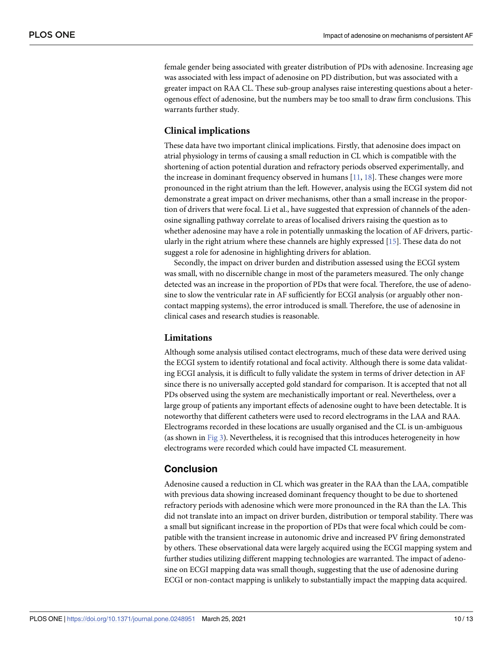female gender being associated with greater distribution of PDs with adenosine. Increasing age was associated with less impact of adenosine on PD distribution, but was associated with a greater impact on RAA CL. These sub-group analyses raise interesting questions about a heterogenous effect of adenosine, but the numbers may be too small to draw firm conclusions. This warrants further study.

# **Clinical implications**

These data have two important clinical implications. Firstly, that adenosine does impact on atrial physiology in terms of causing a small reduction in CL which is compatible with the shortening of action potential duration and refractory periods observed experimentally, and the increase in dominant frequency observed in humans [\[11,](#page-11-0) [18\]](#page-12-0). These changes were more pronounced in the right atrium than the left. However, analysis using the ECGI system did not demonstrate a great impact on driver mechanisms, other than a small increase in the proportion of drivers that were focal. Li et al., have suggested that expression of channels of the adenosine signalling pathway correlate to areas of localised drivers raising the question as to whether adenosine may have a role in potentially unmasking the location of AF drivers, particularly in the right atrium where these channels are highly expressed [\[15\]](#page-11-0). These data do not suggest a role for adenosine in highlighting drivers for ablation.

Secondly, the impact on driver burden and distribution assessed using the ECGI system was small, with no discernible change in most of the parameters measured. The only change detected was an increase in the proportion of PDs that were focal. Therefore, the use of adenosine to slow the ventricular rate in AF sufficiently for ECGI analysis (or arguably other noncontact mapping systems), the error introduced is small. Therefore, the use of adenosine in clinical cases and research studies is reasonable.

#### **Limitations**

Although some analysis utilised contact electrograms, much of these data were derived using the ECGI system to identify rotational and focal activity. Although there is some data validating ECGI analysis, it is difficult to fully validate the system in terms of driver detection in AF since there is no universally accepted gold standard for comparison. It is accepted that not all PDs observed using the system are mechanistically important or real. Nevertheless, over a large group of patients any important effects of adenosine ought to have been detectable. It is noteworthy that different catheters were used to record electrograms in the LAA and RAA. Electrograms recorded in these locations are usually organised and the CL is un-ambiguous (as shown in [Fig](#page-4-0) 3). Nevertheless, it is recognised that this introduces heterogeneity in how electrograms were recorded which could have impacted CL measurement.

# **Conclusion**

Adenosine caused a reduction in CL which was greater in the RAA than the LAA, compatible with previous data showing increased dominant frequency thought to be due to shortened refractory periods with adenosine which were more pronounced in the RA than the LA. This did not translate into an impact on driver burden, distribution or temporal stability. There was a small but significant increase in the proportion of PDs that were focal which could be compatible with the transient increase in autonomic drive and increased PV firing demonstrated by others. These observational data were largely acquired using the ECGI mapping system and further studies utilizing different mapping technologies are warranted. The impact of adenosine on ECGI mapping data was small though, suggesting that the use of adenosine during ECGI or non-contact mapping is unlikely to substantially impact the mapping data acquired.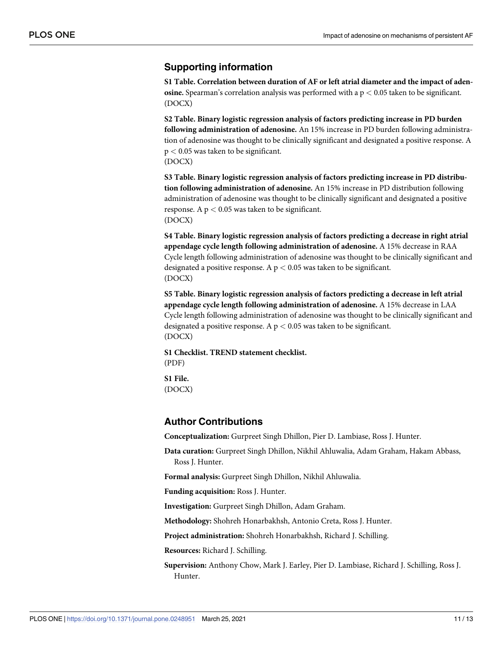# <span id="page-10-0"></span>**Supporting information**

**S1 [Table.](http://www.plosone.org/article/fetchSingleRepresentation.action?uri=info:doi/10.1371/journal.pone.0248951.s001) Correlation between duration of AF or left atrial diameter and the impact of adenosine.** Spearman's correlation analysis was performed with a p *<* 0.05 taken to be significant. (DOCX)

**S2 [Table.](http://www.plosone.org/article/fetchSingleRepresentation.action?uri=info:doi/10.1371/journal.pone.0248951.s002) Binary logistic regression analysis of factors predicting increase in PD burden following administration of adenosine.** An 15% increase in PD burden following administration of adenosine was thought to be clinically significant and designated a positive response. A p *<* 0.05 was taken to be significant. (DOCX)

**S3 [Table.](http://www.plosone.org/article/fetchSingleRepresentation.action?uri=info:doi/10.1371/journal.pone.0248951.s003) Binary logistic regression analysis of factors predicting increase in PD distribution following administration of adenosine.** An 15% increase in PD distribution following administration of adenosine was thought to be clinically significant and designated a positive response. A p *<* 0.05 was taken to be significant. (DOCX)

**S4 [Table.](http://www.plosone.org/article/fetchSingleRepresentation.action?uri=info:doi/10.1371/journal.pone.0248951.s004) Binary logistic regression analysis of factors predicting a decrease in right atrial appendage cycle length following administration of adenosine.** A 15% decrease in RAA Cycle length following administration of adenosine was thought to be clinically significant and designated a positive response. A p *<* 0.05 was taken to be significant. (DOCX)

**S5 [Table.](http://www.plosone.org/article/fetchSingleRepresentation.action?uri=info:doi/10.1371/journal.pone.0248951.s005) Binary logistic regression analysis of factors predicting a decrease in left atrial appendage cycle length following administration of adenosine.** A 15% decrease in LAA Cycle length following administration of adenosine was thought to be clinically significant and designated a positive response. A p *<* 0.05 was taken to be significant. (DOCX)

**S1 [Checklist.](http://www.plosone.org/article/fetchSingleRepresentation.action?uri=info:doi/10.1371/journal.pone.0248951.s006) TREND statement checklist.** (PDF)

**S1 [File.](http://www.plosone.org/article/fetchSingleRepresentation.action?uri=info:doi/10.1371/journal.pone.0248951.s007)** (DOCX)

### **Author Contributions**

**Conceptualization:** Gurpreet Singh Dhillon, Pier D. Lambiase, Ross J. Hunter.

**Data curation:** Gurpreet Singh Dhillon, Nikhil Ahluwalia, Adam Graham, Hakam Abbass, Ross J. Hunter.

**Formal analysis:** Gurpreet Singh Dhillon, Nikhil Ahluwalia.

**Funding acquisition:** Ross J. Hunter.

**Investigation:** Gurpreet Singh Dhillon, Adam Graham.

**Methodology:** Shohreh Honarbakhsh, Antonio Creta, Ross J. Hunter.

**Project administration:** Shohreh Honarbakhsh, Richard J. Schilling.

**Resources:** Richard J. Schilling.

**Supervision:** Anthony Chow, Mark J. Earley, Pier D. Lambiase, Richard J. Schilling, Ross J. Hunter.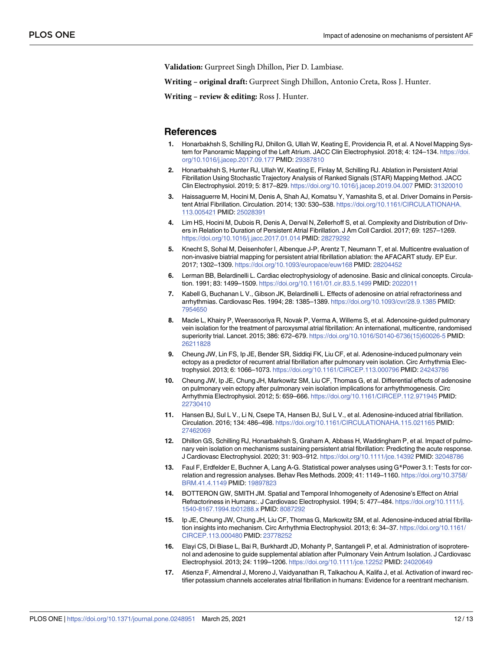<span id="page-11-0"></span>**Validation:** Gurpreet Singh Dhillon, Pier D. Lambiase.

**Writing – original draft:** Gurpreet Singh Dhillon, Antonio Creta, Ross J. Hunter.

**Writing – review & editing:** Ross J. Hunter.

#### **References**

- **[1](#page-1-0).** Honarbakhsh S, Schilling RJ, Dhillon G, Ullah W, Keating E, Providencia R, et al. A Novel Mapping System for Panoramic Mapping of the Left Atrium. JACC Clin Electrophysiol. 2018; 4: 124–134. [https://doi.](https://doi.org/10.1016/j.jacep.2017.09.177) [org/10.1016/j.jacep.2017.09.177](https://doi.org/10.1016/j.jacep.2017.09.177) PMID: [29387810](http://www.ncbi.nlm.nih.gov/pubmed/29387810)
- **[2](#page-1-0).** Honarbakhsh S, Hunter RJ, Ullah W, Keating E, Finlay M, Schilling RJ. Ablation in Persistent Atrial Fibrillation Using Stochastic Trajectory Analysis of Ranked Signals (STAR) Mapping Method. JACC Clin Electrophysiol. 2019; 5: 817–829. <https://doi.org/10.1016/j.jacep.2019.04.007> PMID: [31320010](http://www.ncbi.nlm.nih.gov/pubmed/31320010)
- **3.** Haissaguerre M, Hocini M, Denis A, Shah AJ, Komatsu Y, Yamashita S, et al. Driver Domains in Persistent Atrial Fibrillation. Circulation. 2014; 130: 530–538. [https://doi.org/10.1161/CIRCULATIONAHA.](https://doi.org/10.1161/CIRCULATIONAHA.113.005421) [113.005421](https://doi.org/10.1161/CIRCULATIONAHA.113.005421) PMID: [25028391](http://www.ncbi.nlm.nih.gov/pubmed/25028391)
- **[4](#page-1-0).** Lim HS, Hocini M, Dubois R, Denis A, Derval N, Zellerhoff S, et al. Complexity and Distribution of Drivers in Relation to Duration of Persistent Atrial Fibrillation. J Am Coll Cardiol. 2017; 69: 1257–1269. <https://doi.org/10.1016/j.jacc.2017.01.014> PMID: [28279292](http://www.ncbi.nlm.nih.gov/pubmed/28279292)
- **[5](#page-1-0).** Knecht S, Sohal M, Deisenhofer I, Albenque J-P, Arentz T, Neumann T, et al. Multicentre evaluation of non-invasive biatrial mapping for persistent atrial fibrillation ablation: the AFACART study. EP Eur. 2017; 1302–1309. <https://doi.org/10.1093/europace/euw168> PMID: [28204452](http://www.ncbi.nlm.nih.gov/pubmed/28204452)
- **[6](#page-1-0).** Lerman BB, Belardinelli L. Cardiac electrophysiology of adenosine. Basic and clinical concepts. Circulation. 1991; 83: 1499–1509. <https://doi.org/10.1161/01.cir.83.5.1499> PMID: [2022011](http://www.ncbi.nlm.nih.gov/pubmed/2022011)
- **[7](#page-1-0).** Kabell G, Buchanan L V., Gibson JK, Belardinelli L. Effects of adenosine on atrial refractoriness and arrhythmias. Cardiovasc Res. 1994; 28: 1385–1389. <https://doi.org/10.1093/cvr/28.9.1385> PMID: [7954650](http://www.ncbi.nlm.nih.gov/pubmed/7954650)
- **[8](#page-1-0).** Macle L, Khairy P, Weerasooriya R, Novak P, Verma A, Willems S, et al. Adenosine-guided pulmonary vein isolation for the treatment of paroxysmal atrial fibrillation: An international, multicentre, randomised superiority trial. Lancet. 2015; 386: 672–679. [https://doi.org/10.1016/S0140-6736\(15\)60026-5](https://doi.org/10.1016/S0140-6736%2815%2960026-5) PMID: [26211828](http://www.ncbi.nlm.nih.gov/pubmed/26211828)
- **[9](#page-1-0).** Cheung JW, Lin FS, Ip JE, Bender SR, Siddiqi FK, Liu CF, et al. Adenosine-induced pulmonary vein ectopy as a predictor of recurrent atrial fibrillation after pulmonary vein isolation. Circ Arrhythmia Electrophysiol. 2013; 6: 1066–1073. <https://doi.org/10.1161/CIRCEP.113.000796> PMID: [24243786](http://www.ncbi.nlm.nih.gov/pubmed/24243786)
- **[10](#page-1-0).** Cheung JW, Ip JE, Chung JH, Markowitz SM, Liu CF, Thomas G, et al. Differential effects of adenosine on pulmonary vein ectopy after pulmonary vein isolation implications for arrhythmogenesis. Circ Arrhythmia Electrophysiol. 2012; 5: 659–666. <https://doi.org/10.1161/CIRCEP.112.971945> PMID: [22730410](http://www.ncbi.nlm.nih.gov/pubmed/22730410)
- **[11](#page-1-0).** Hansen BJ, Sul L V., Li N, Csepe TA, Hansen BJ, Sul L V., et al. Adenosine-induced atrial fibrillation. Circulation. 2016; 134: 486–498. <https://doi.org/10.1161/CIRCULATIONAHA.115.021165> PMID: [27462069](http://www.ncbi.nlm.nih.gov/pubmed/27462069)
- **[12](#page-2-0).** Dhillon GS, Schilling RJ, Honarbakhsh S, Graham A, Abbass H, Waddingham P, et al. Impact of pulmonary vein isolation on mechanisms sustaining persistent atrial fibrillation: Predicting the acute response. J Cardiovasc Electrophysiol. 2020; 31: 903–912. <https://doi.org/10.1111/jce.14392> PMID: [32048786](http://www.ncbi.nlm.nih.gov/pubmed/32048786)
- **[13](#page-4-0).** Faul F, Erdfelder E, Buchner A, Lang A-G. Statistical power analyses using G\*Power 3.1: Tests for correlation and regression analyses. Behav Res Methods. 2009; 41: 1149–1160. [https://doi.org/10.3758/](https://doi.org/10.3758/BRM.41.4.1149) [BRM.41.4.1149](https://doi.org/10.3758/BRM.41.4.1149) PMID: [19897823](http://www.ncbi.nlm.nih.gov/pubmed/19897823)
- **[14](#page-8-0).** BOTTERON GW, SMITH JM. Spatial and Temporal Inhomogeneity of Adenosine's Effect on Atrial Refractoriness in Humans:. J Cardiovasc Electrophysiol. 1994; 5: 477–484. [https://doi.org/10.1111/j.](https://doi.org/10.1111/j.1540-8167.1994.tb01288.x) [1540-8167.1994.tb01288.x](https://doi.org/10.1111/j.1540-8167.1994.tb01288.x) PMID: [8087292](http://www.ncbi.nlm.nih.gov/pubmed/8087292)
- **[15](#page-8-0).** Ip JE, Cheung JW, Chung JH, Liu CF, Thomas G, Markowitz SM, et al. Adenosine-induced atrial fibrillation insights into mechanism. Circ Arrhythmia Electrophysiol. 2013; 6: 34–37. [https://doi.org/10.1161/](https://doi.org/10.1161/CIRCEP.113.000480) [CIRCEP.113.000480](https://doi.org/10.1161/CIRCEP.113.000480) PMID: [23778252](http://www.ncbi.nlm.nih.gov/pubmed/23778252)
- **[16](#page-8-0).** Elayi CS, Di Biase L, Bai R, Burkhardt JD, Mohanty P, Santangeli P, et al. Administration of isoproterenol and adenosine to guide supplemental ablation after Pulmonary Vein Antrum Isolation. J Cardiovasc Electrophysiol. 2013; 24: 1199–1206. <https://doi.org/10.1111/jce.12252> PMID: [24020649](http://www.ncbi.nlm.nih.gov/pubmed/24020649)
- **[17](#page-8-0).** Atienza F, Almendral J, Moreno J, Vaidyanathan R, Talkachou A, Kalifa J, et al. Activation of inward rectifier potassium channels accelerates atrial fibrillation in humans: Evidence for a reentrant mechanism.